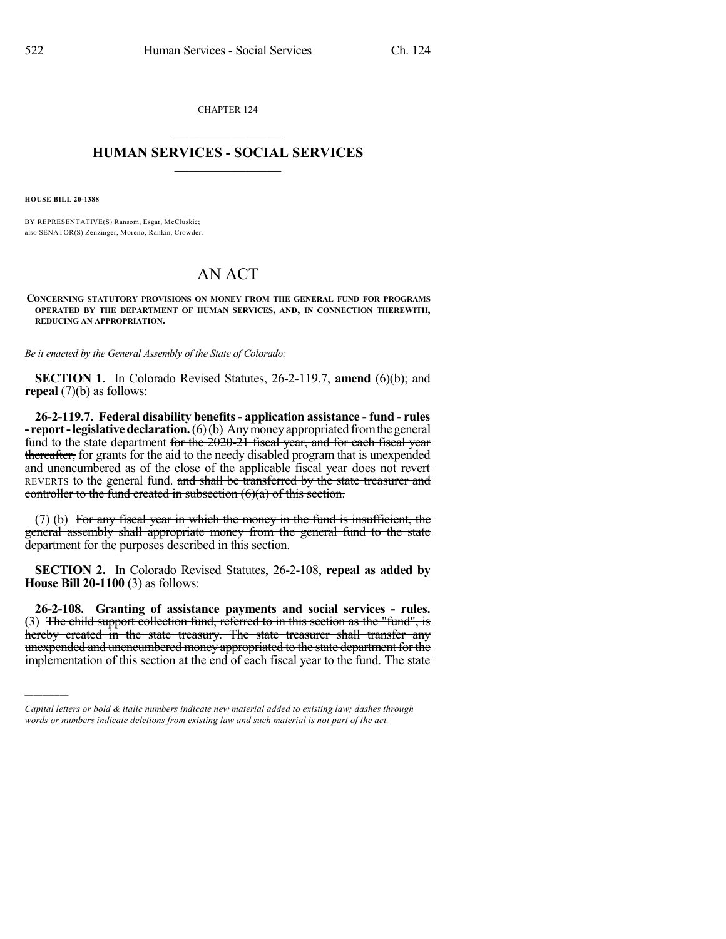CHAPTER 124  $\mathcal{L}_\text{max}$  . The set of the set of the set of the set of the set of the set of the set of the set of the set of the set of the set of the set of the set of the set of the set of the set of the set of the set of the set

## **HUMAN SERVICES - SOCIAL SERVICES**  $\frac{1}{2}$  ,  $\frac{1}{2}$  ,  $\frac{1}{2}$  ,  $\frac{1}{2}$  ,  $\frac{1}{2}$  ,  $\frac{1}{2}$

**HOUSE BILL 20-1388**

)))))

BY REPRESENTATIVE(S) Ransom, Esgar, McCluskie; also SENATOR(S) Zenzinger, Moreno, Rankin, Crowder.

## AN ACT

**CONCERNING STATUTORY PROVISIONS ON MONEY FROM THE GENERAL FUND FOR PROGRAMS OPERATED BY THE DEPARTMENT OF HUMAN SERVICES, AND, IN CONNECTION THEREWITH, REDUCING AN APPROPRIATION.**

*Be it enacted by the General Assembly of the State of Colorado:*

**SECTION 1.** In Colorado Revised Statutes, 26-2-119.7, **amend** (6)(b); and **repeal** (7)(b) as follows:

**26-2-119.7. Federal disability benefits- application assistance - fund - rules - report-legislativedeclaration.**(6)(b) Anymoneyappropriated fromthegeneral fund to the state department for the 2020-21 fiscal year, and for each fiscal year thereafter, for grants for the aid to the needy disabled program that is unexpended and unencumbered as of the close of the applicable fiscal year does not revert REVERTS to the general fund. and shall be transferred by the state treasurer and controller to the fund created in subsection  $(6)(a)$  of this section.

(7) (b) For any fiscal year in which the money in the fund is insufficient, the general assembly shall appropriate money from the general fund to the state department for the purposes described in this section.

**SECTION 2.** In Colorado Revised Statutes, 26-2-108, **repeal as added by House Bill 20-1100** (3) as follows:

**26-2-108. Granting of assistance payments and social services - rules.** (3) The child support collection fund, referred to in this section as the "fund", is hereby created in the state treasury. The state treasurer shall transfer any unexpended and unencumbered money appropriated to the state department for the implementation of this section at the end of each fiscal year to the fund. The state

*Capital letters or bold & italic numbers indicate new material added to existing law; dashes through words or numbers indicate deletions from existing law and such material is not part of the act.*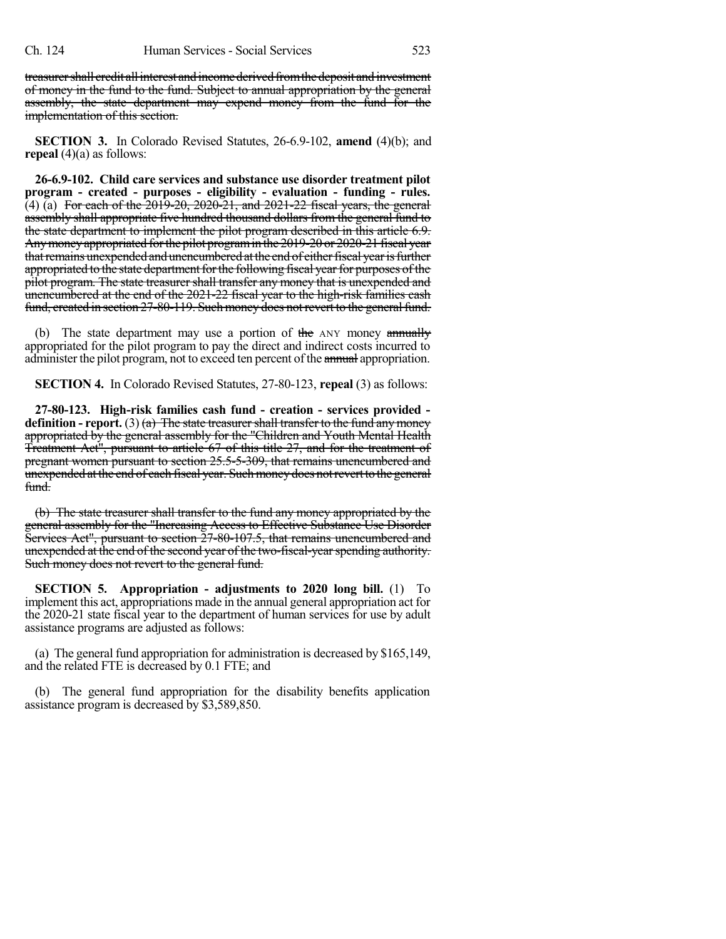treasurer shall credit all interest and income derived from the deposit and investment of money in the fund to the fund. Subject to annual appropriation by the general assembly, the state department may expend money from the fund for the implementation of this section.

**SECTION 3.** In Colorado Revised Statutes, 26-6.9-102, **amend** (4)(b); and **repeal** (4)(a) as follows:

**26-6.9-102. Child care services and substance use disorder treatment pilot program - created - purposes - eligibility - evaluation - funding - rules.**  $(4)$  (a) For each of the  $2019-20$ ,  $2020-21$ , and  $2021-22$  fiscal years, the general assembly shall appropriate five hundred thousand dollars from the general fund to the state department to implement the pilot program described in this article 6.9. Anymoneyappropriated forthe pilot programin the 2019-20 or 2020-21 fiscal year that remains unexpended and unencumbered at the end of either fiscal year is further appropriated to the state department for the following fiscal year for purposes of the pilot program. The state treasurer shall transfer any money that is unexpended and unencumbered at the end of the 2021-22 fiscal year to the high-risk families cash fund, created in section 27-80-119. Such money does not revert to the general fund.

(b) The state department may use a portion of the  $ANY$  money annually appropriated for the pilot program to pay the direct and indirect costs incurred to administer the pilot program, not to exceed ten percent of the annual appropriation.

**SECTION 4.** In Colorado Revised Statutes, 27-80-123, **repeal** (3) as follows:

**27-80-123. High-risk families cash fund - creation - services provided definition - report.** (3) (a) The state treasurershall transfer to the fund any money appropriated by the general assembly for the "Children and Youth Mental Health Treatment Act", pursuant to article 67 of this title 27, and for the treatment of pregnant women pursuant to section 25.5-5-309, that remains unencumbered and unexpended at the end of each fiscal year. Such money does not revert to the general fund.

(b) The state treasurer shall transfer to the fund any money appropriated by the general assembly for the "Increasing Access to Effective Substance Use Disorder Services Act", pursuant to section 27-80-107.5, that remains unencumbered and unexpended at the end of the second year of the two-fiscal-year spending authority. Such money does not revert to the general fund.

**SECTION 5. Appropriation - adjustments to 2020 long bill.** (1) To implement this act, appropriations made in the annual general appropriation act for the 2020-21 state fiscal year to the department of human services for use by adult assistance programs are adjusted as follows:

(a) The general fund appropriation for administration is decreased by \$165,149, and the related FTE is decreased by 0.1 FTE; and

(b) The general fund appropriation for the disability benefits application assistance program is decreased by \$3,589,850.